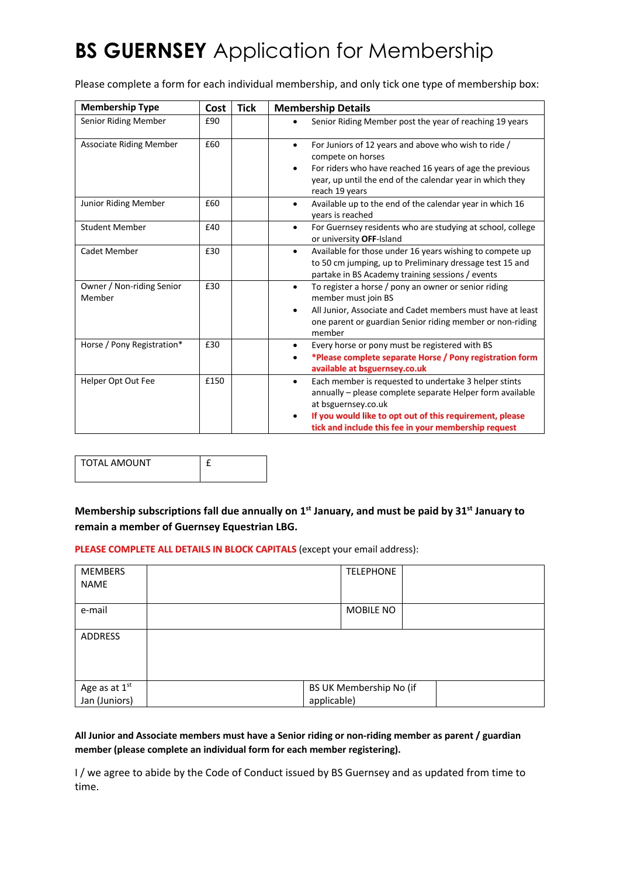# **BS GUERNSEY** Application for Membership

Please complete a form for each individual membership, and only tick one type of membership box:

| <b>Membership Type</b>              | Cost | <b>Tick</b> | <b>Membership Details</b>                                                                                                                                                                                                                                                  |  |
|-------------------------------------|------|-------------|----------------------------------------------------------------------------------------------------------------------------------------------------------------------------------------------------------------------------------------------------------------------------|--|
| Senior Riding Member                | £90  |             | Senior Riding Member post the year of reaching 19 years                                                                                                                                                                                                                    |  |
| <b>Associate Riding Member</b>      | £60  |             | For Juniors of 12 years and above who wish to ride /<br>$\bullet$<br>compete on horses<br>For riders who have reached 16 years of age the previous<br>٠<br>year, up until the end of the calendar year in which they<br>reach 19 years                                     |  |
| Junior Riding Member                | £60  |             | Available up to the end of the calendar year in which 16<br>$\bullet$<br>years is reached                                                                                                                                                                                  |  |
| <b>Student Member</b>               | £40  |             | For Guernsey residents who are studying at school, college<br>$\bullet$<br>or university OFF-Island                                                                                                                                                                        |  |
| Cadet Member                        | £30  |             | Available for those under 16 years wishing to compete up<br>$\bullet$<br>to 50 cm jumping, up to Preliminary dressage test 15 and<br>partake in BS Academy training sessions / events                                                                                      |  |
| Owner / Non-riding Senior<br>Member | £30  |             | To register a horse / pony an owner or senior riding<br>$\bullet$<br>member must join BS<br>All Junior, Associate and Cadet members must have at least<br>$\bullet$<br>one parent or guardian Senior riding member or non-riding<br>member                                 |  |
| Horse / Pony Registration*          | £30  |             | Every horse or pony must be registered with BS<br>$\bullet$<br>*Please complete separate Horse / Pony registration form<br>available at bsguernsey.co.uk                                                                                                                   |  |
| Helper Opt Out Fee                  | £150 |             | Each member is requested to undertake 3 helper stints<br>$\bullet$<br>annually - please complete separate Helper form available<br>at bsguernsey.co.uk<br>If you would like to opt out of this requirement, please<br>tick and include this fee in your membership request |  |

| <b>TOTAL AMOUNT</b> |  |
|---------------------|--|
|                     |  |

**Membership subscriptions fall due annually on 1st January, and must be paid by 31st January to remain a member of Guernsey Equestrian LBG.**

**PLEASE COMPLETE ALL DETAILS IN BLOCK CAPITALS** (except your email address):

| <b>MEMBERS</b><br><b>NAME</b>              | <b>TELEPHONE</b>                       |  |  |
|--------------------------------------------|----------------------------------------|--|--|
| e-mail                                     | MOBILE NO                              |  |  |
| ADDRESS                                    |                                        |  |  |
| Age as at 1 <sup>st</sup><br>Jan (Juniors) | BS UK Membership No (if<br>applicable) |  |  |

**All Junior and Associate members must have a Senior riding or non-riding member as parent / guardian member (please complete an individual form for each member registering).**

I / we agree to abide by the Code of Conduct issued by BS Guernsey and as updated from time to time.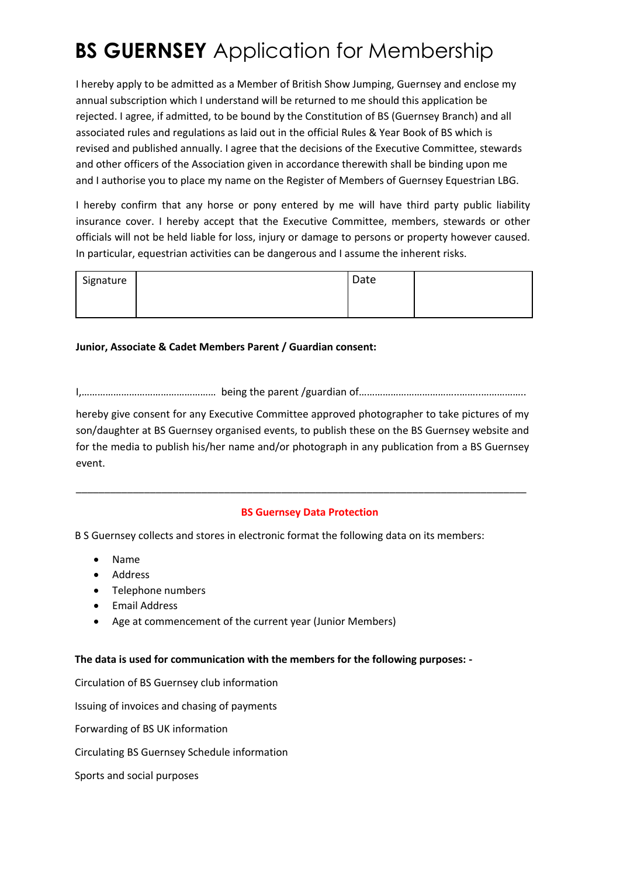# **BS GUERNSEY** Application for Membership

I hereby apply to be admitted as a Member of British Show Jumping, Guernsey and enclose my annual subscription which I understand will be returned to me should this application be rejected. I agree, if admitted, to be bound by the Constitution of BS (Guernsey Branch) and all associated rules and regulations as laid out in the official Rules & Year Book of BS which is revised and published annually. I agree that the decisions of the Executive Committee, stewards and other officers of the Association given in accordance therewith shall be binding upon me and I authorise you to place my name on the Register of Members of Guernsey Equestrian LBG.

I hereby confirm that any horse or pony entered by me will have third party public liability insurance cover. I hereby accept that the Executive Committee, members, stewards or other officials will not be held liable for loss, injury or damage to persons or property however caused. In particular, equestrian activities can be dangerous and I assume the inherent risks.

| Signature | Date |  |
|-----------|------|--|
|           |      |  |

### **Junior, Associate & Cadet Members Parent / Guardian consent:**

I,…………………………………………… being the parent /guardian of………………………………..……..……………..

hereby give consent for any Executive Committee approved photographer to take pictures of my son/daughter at BS Guernsey organised events, to publish these on the BS Guernsey website and for the media to publish his/her name and/or photograph in any publication from a BS Guernsey event.

\_\_\_\_\_\_\_\_\_\_\_\_\_\_\_\_\_\_\_\_\_\_\_\_\_\_\_\_\_\_\_\_\_\_\_\_\_\_\_\_\_\_\_\_\_\_\_\_\_\_\_\_\_\_\_\_\_\_\_\_\_\_\_\_\_\_\_\_\_\_\_\_\_\_\_\_\_\_\_

#### **BS Guernsey Data Protection**

B S Guernsey collects and stores in electronic format the following data on its members:

- Name
- Address
- Telephone numbers
- Email Address
- Age at commencement of the current year (Junior Members)

#### **The data is used for communication with the members for the following purposes: -**

Circulation of BS Guernsey club information Issuing of invoices and chasing of payments Forwarding of BS UK information Circulating BS Guernsey Schedule information Sports and social purposes